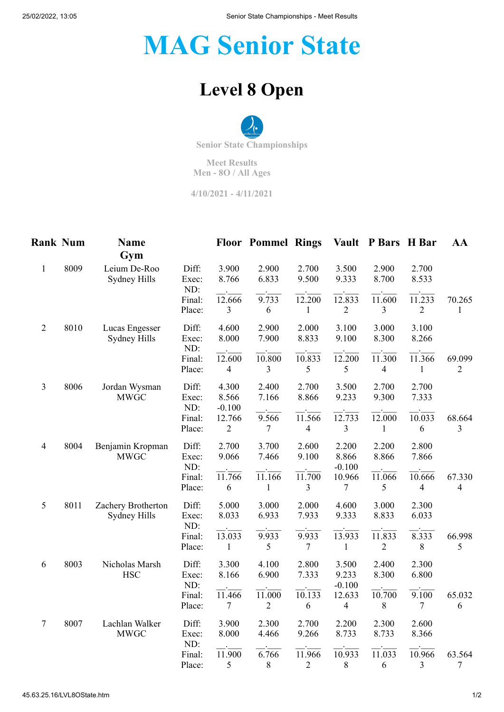## **MAG Senior State**

## **Level 8 Open**

**Senior State Championships**

**Meet Results Men - 8O / All Ages**

**4/10/2021 - 4/11/2021**

| <b>Rank Num</b> |      | Name<br>Gym                         |                       |                            | <b>Floor Pommel Rings</b> |                                     |                            | Vault P Bars H Bar                 |                          | AA                       |
|-----------------|------|-------------------------------------|-----------------------|----------------------------|---------------------------|-------------------------------------|----------------------------|------------------------------------|--------------------------|--------------------------|
| $\mathbf{1}$    | 8009 | Leium De-Roo<br><b>Sydney Hills</b> | Diff:<br>Exec:<br>ND: | 3.900<br>8.766             | 2.900<br>6.833            | 2.700<br>9.500                      | 3.500<br>9.333             | 2.900<br>8.700                     | 2.700<br>8.533           |                          |
|                 |      |                                     | Final:<br>Place:      | 12.666<br>$\mathfrak{Z}$   | 9.733<br>6                | 12.200<br>1                         | 12.833<br>$\sqrt{2}$       | 11.600<br>3                        | 11.233<br>$\mathfrak{2}$ | 70.265<br>1              |
| $\mathfrak{2}$  | 8010 | Lucas Engesser<br>Sydney Hills      | Diff:<br>Exec:<br>ND: | 4.600<br>8.000             | 2.900<br>7.900            | 2.000<br>8.833                      | 3.100<br>9.100             | 3.000<br>8.300                     | 3.100<br>8.266           |                          |
|                 |      |                                     | Final:<br>Place:      | 12.600<br>4                | 10.800<br>$\overline{3}$  | 10.833<br>5                         | 12.200<br>5                | 11.300<br>$\overline{\mathcal{A}}$ | 11.366<br>1              | 69.099<br>$\overline{2}$ |
| 3               | 8006 | Jordan Wysman<br><b>MWGC</b>        | Diff:<br>Exec:<br>ND: | 4.300<br>8.566<br>$-0.100$ | 2.400<br>7.166            | 2.700<br>8.866                      | 3.500<br>9.233             | 2.700<br>9.300                     | 2.700<br>7.333           |                          |
|                 |      |                                     | Final:<br>Place:      | 12.766<br>$\overline{c}$   | 9.566<br>7                | 11.566<br>4                         | 12.733<br>3                | 12.000<br>1                        | 10.033<br>6              | 68.664<br>3              |
| $\overline{4}$  | 8004 | Benjamin Kropman<br><b>MWGC</b>     | Diff:<br>Exec:<br>ND: | 2.700<br>9.066             | 3.700<br>7.466            | 2.600<br>9.100                      | 2.200<br>8.866<br>$-0.100$ | 2.200<br>8.866                     | 2.800<br>7.866           |                          |
|                 |      |                                     | Final:<br>Place:      | 11.766<br>6                | 11.166<br>1               | 11.700<br>3                         | 10.966<br>7                | 11.066<br>5                        | 10.666<br>$\overline{4}$ | 67.330<br>$\overline{4}$ |
| 5               | 8011 | Zachery Brotherton<br>Sydney Hills  | Diff:<br>Exec:<br>ND: | 5.000<br>8.033             | 3.000<br>6.933            | 2.000<br>7.933                      | 4.600<br>9.333             | 3.000<br>8.833                     | 2.300<br>6.033           |                          |
|                 |      |                                     | Final:<br>Place:      | 13.033<br>$\mathbf{1}$     | 9.933<br>5                | 9.933<br>$\tau$                     | 13.933<br>$\mathbf{1}$     | 11.833<br>$\sqrt{2}$               | 8.333<br>8               | 66.998<br>5              |
| 6               | 8003 | Nicholas Marsh<br><b>HSC</b>        | Diff:<br>Exec:<br>ND: | 3.300<br>8.166             | 4.100<br>6.900            | 2.800<br>7.333                      | 3.500<br>9.233<br>$-0.100$ | 2.400<br>8.300                     | 2.300<br>6.800           |                          |
|                 |      |                                     | Final:<br>Place:      | 11.466<br>7                | 11.000<br>$\mathfrak{2}$  | 10.133<br>6                         | 12.633<br>4                | 10.700<br>8                        | 9.100<br>7               | 65.032<br>6              |
| $\tau$          | 8007 | Lachlan Walker<br><b>MWGC</b>       | Diff:<br>Exec:<br>ND: | 3.900<br>8.000             | 2.300<br>4.466            | 2.700<br>9.266                      | 2.200<br>8.733             | 2.300<br>8.733                     | 2.600<br>8.366           |                          |
|                 |      |                                     | Final:<br>Place:      | 11.900<br>5                | 6.766<br>$8\,$            | $\overline{11.966}$<br>$\mathbf{2}$ | $\overline{10.933}$<br>8   | 11.033<br>6                        | 10.966<br>$\mathfrak{Z}$ | 63.564<br>$\overline{7}$ |